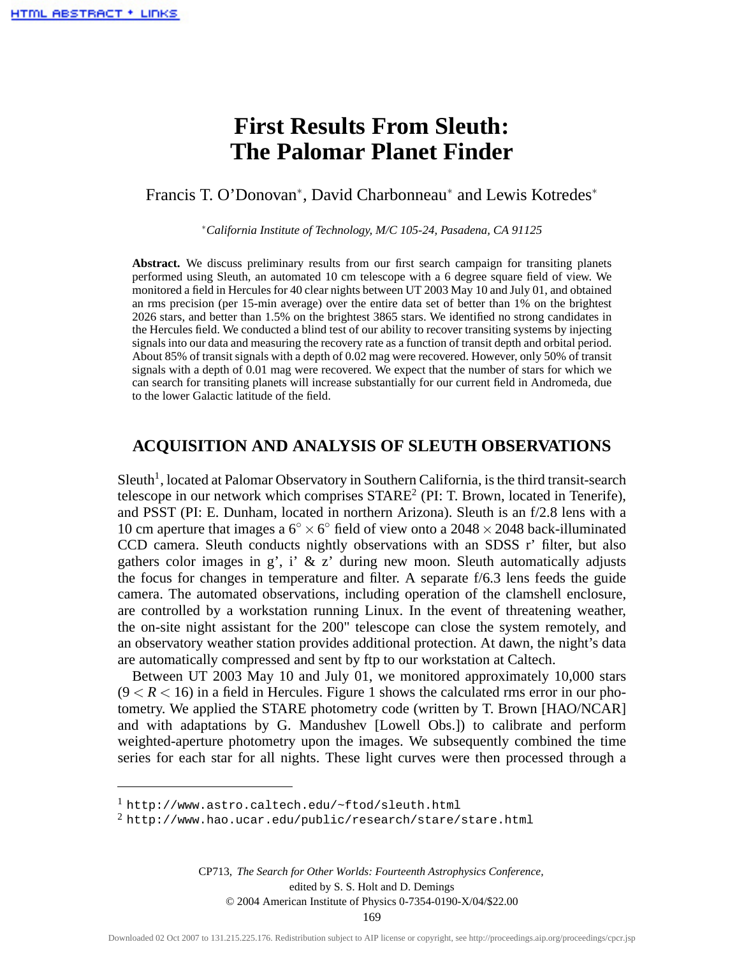# **First Results From Sleuth: The Palomar Planet Finder**

## Francis T. O'Donovan<sup>∗</sup> , David Charbonneau<sup>∗</sup> and Lewis Kotredes<sup>∗</sup>

<sup>∗</sup>*California Institute of Technology, M/C 105-24, Pasadena, CA 91125*

**Abstract.** We discuss preliminary results from our first search campaign for transiting planets performed using Sleuth, an automated 10 cm telescope with a 6 degree square field of view. We monitored a field in Hercules for 40 clear nights between UT 2003 May 10 and July 01, and obtained an rms precision (per 15-min average) over the entire data set of better than 1% on the brightest 2026 stars, and better than 1.5% on the brightest 3865 stars. We identified no strong candidates in the Hercules field. We conducted a blind test of our ability to recover transiting systems by injecting signals into our data and measuring the recovery rate as a function of transit depth and orbital period. About 85% of transit signals with a depth of 0.02 mag were recovered. However, only 50% of transit signals with a depth of 0.01 mag were recovered. We expect that the number of stars for which we can search for transiting planets will increase substantially for our current field in Andromeda, due to the lower Galactic latitude of the field.

# **ACQUISITION AND ANALYSIS OF SLEUTH OBSERVATIONS**

Sleuth<sup>1</sup>, located at Palomar Observatory in Southern California, is the third transit-search telescope in our network which comprises STARE2 (PI: T. Brown, located in Tenerife), and PSST (PI: E. Dunham, located in northern Arizona). Sleuth is an f/2.8 lens with a 10 cm aperture that images a  $6° \times 6°$  field of view onto a 2048  $\times$  2048 back-illuminated CCD camera. Sleuth conducts nightly observations with an SDSS r' filter, but also gathers color images in g', i' & z' during new moon. Sleuth automatically adjusts the focus for changes in temperature and filter. A separate f/6.3 lens feeds the guide camera. The automated observations, including operation of the clamshell enclosure, are controlled by a workstation running Linux. In the event of threatening weather, the on-site night assistant for the 200" telescope can close the system remotely, and an observatory weather station provides additional protection. At dawn, the night's data are automatically compressed and sent by ftp to our workstation at Caltech.

Between UT 2003 May 10 and July 01, we monitored approximately 10,000 stars  $(9 < R < 16)$  in a field in Hercules. Figure 1 shows the calculated rms error in our photometry. We applied the STARE photometry code (written by T. Brown [HAO/NCAR] and with adaptations by G. Mandushev [Lowell Obs.]) to calibrate and perform weighted-aperture photometry upon the images. We subsequently combined the time series for each star for all nights. These light curves were then processed through a

<sup>1</sup> http://www.astro.caltech.edu/~ftod/sleuth.html

<sup>2</sup> http://www.hao.ucar.edu/public/research/stare/stare.html

CP713, *The Search for Other Worlds: Fourteenth Astrophysics Conference,*<br>edited by S. S. Holt and D. Demings<br>© 2004 American Institute of Physics 0-7354-0190-X/04/\$22.00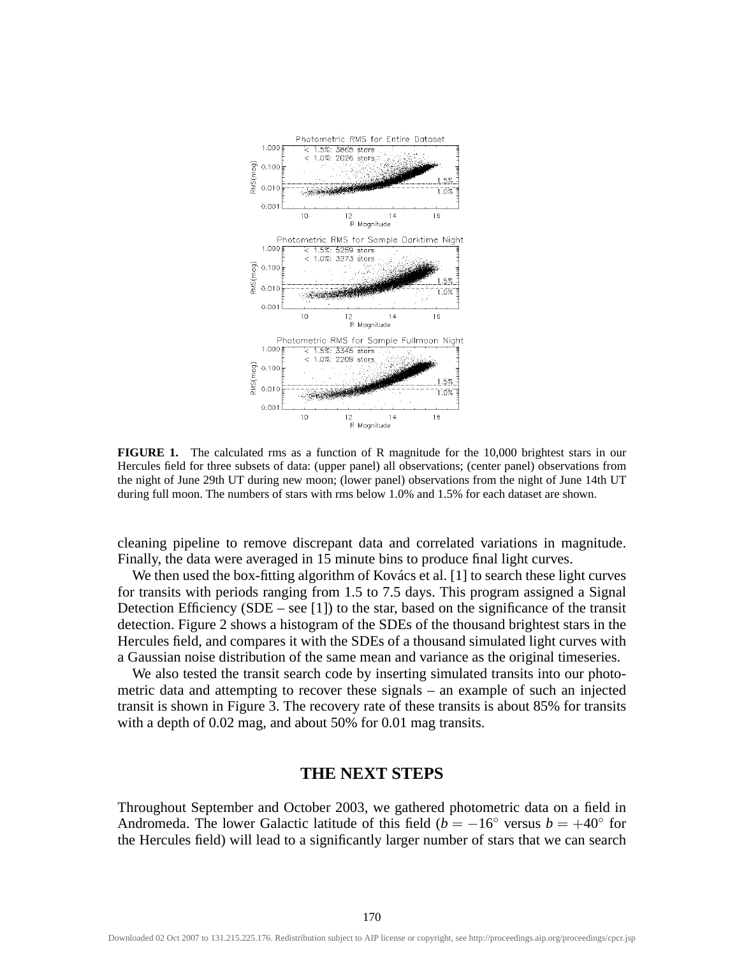

**FIGURE 1.** The calculated rms as a function of R magnitude for the 10,000 brightest stars in our Hercules field for three subsets of data: (upper panel) all observations; (center panel) observations from the night of June 29th UT during new moon; (lower panel) observations from the night of June 14th UT during full moon. The numbers of stars with rms below 1.0% and 1.5% for each dataset are shown.

cleaning pipeline to remove discrepant data and correlated variations in magnitude. Finally, the data were averaged in 15 minute bins to produce final light curves.

We then used the box-fitting algorithm of Kovács et al. [1] to search these light curves for transits with periods ranging from 1.5 to 7.5 days. This program assigned a Signal Detection Efficiency (SDE – see [1]) to the star, based on the significance of the transit detection. Figure 2 shows a histogram of the SDEs of the thousand brightest stars in the Hercules field, and compares it with the SDEs of a thousand simulated light curves with a Gaussian noise distribution of the same mean and variance as the original timeseries.

We also tested the transit search code by inserting simulated transits into our photometric data and attempting to recover these signals – an example of such an injected transit is shown in Figure 3. The recovery rate of these transits is about 85% for transits with a depth of 0.02 mag, and about 50% for 0.01 mag transits.

### **THE NEXT STEPS**

Throughout September and October 2003, we gathered photometric data on a field in Andromeda. The lower Galactic latitude of this field ( $b = -16°$  versus  $b = +40°$  for the Hercules field) will lead to a significantly larger number of stars that we can search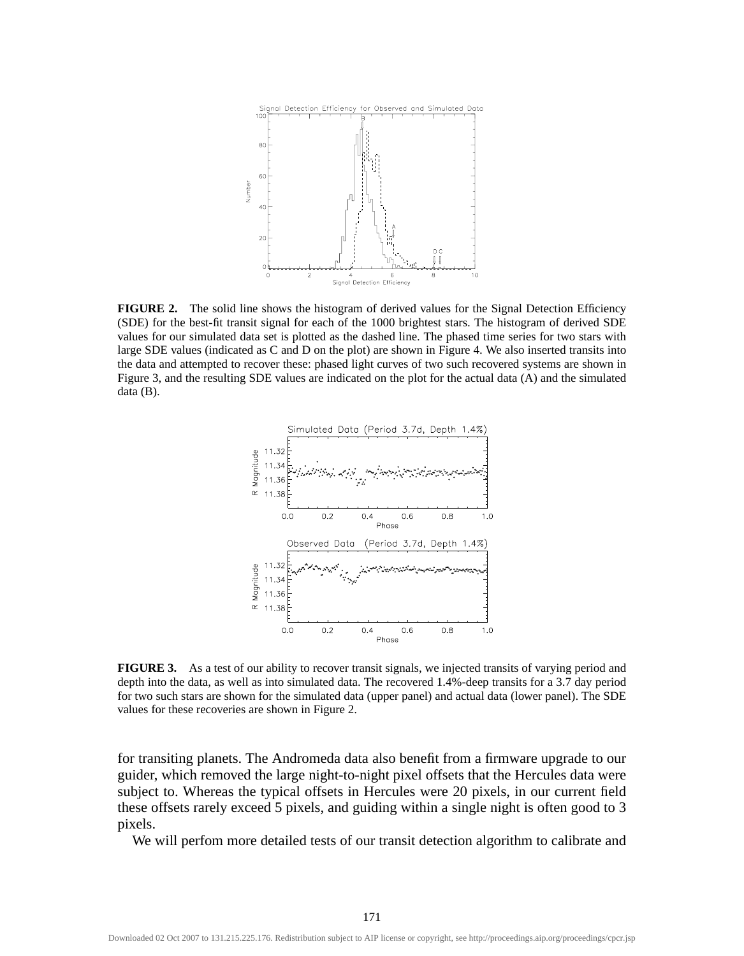

**FIGURE 2.** The solid line shows the histogram of derived values for the Signal Detection Efficiency (SDE) for the best-fit transit signal for each of the 1000 brightest stars. The histogram of derived SDE values for our simulated data set is plotted as the dashed line. The phased time series for two stars with large SDE values (indicated as C and D on the plot) are shown in Figure 4. We also inserted transits into the data and attempted to recover these: phased light curves of two such recovered systems are shown in Figure 3, and the resulting SDE values are indicated on the plot for the actual data (A) and the simulated data (B).



**FIGURE 3.** As a test of our ability to recover transit signals, we injected transits of varying period and depth into the data, as well as into simulated data. The recovered 1.4%-deep transits for a 3.7 day period for two such stars are shown for the simulated data (upper panel) and actual data (lower panel). The SDE values for these recoveries are shown in Figure 2.

for transiting planets. The Andromeda data also benefit from a firmware upgrade to our guider, which removed the large night-to-night pixel offsets that the Hercules data were subject to. Whereas the typical offsets in Hercules were 20 pixels, in our current field these offsets rarely exceed 5 pixels, and guiding within a single night is often good to 3 pixels.

We will perfom more detailed tests of our transit detection algorithm to calibrate and